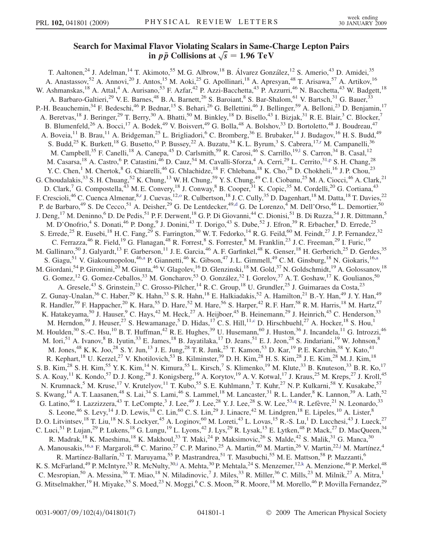## Search for Maximum Flavor Violating Scalars in Same-Charge Explori Pairs<br>
in  $p\bar{p}$  Collisions at  $\sqrt{s} = 1.96 \text{ TeV}$

T. Aaltonen,<sup>24</sup> J. Adelman,<sup>14</sup> T. Akimoto,<sup>55</sup> M. G. Albrow,<sup>18</sup> B. Álvarez González,<sup>12</sup> S. Amerio,<sup>43</sup> D. Amidei,<sup>35</sup> A. Anastassov,<sup>52</sup> A. Annovi,<sup>20</sup> J. Antos,<sup>15</sup> M. Aoki,<sup>25</sup> G. Apollinari,<sup>18</sup> A. Apresyan,<sup>48</sup> T. Arisawa,<sup>57</sup> A. Artikov,<sup>16</sup> W. Ashmanskas,<sup>18</sup> A. Attal,<sup>4</sup> A. Aurisano,<sup>53</sup> F. Azfar,<sup>42</sup> P. Azzi-Bacchetta,<sup>43</sup> P. Azzurri,<sup>46</sup> N. Bacchetta,<sup>43</sup> W. Badgett,<sup>18</sup> A. Barbaro-Galtieri,<sup>29</sup> V. E. Barnes,<sup>48</sup> B. A. Barnett,<sup>26</sup> S. Baroiant,<sup>8</sup> S. Bar-Shalom,<sup>61</sup> V. Bartsch,<sup>31</sup> G. Bauer,<sup>33</sup> P.-H. Beauchemin,<sup>34</sup> F. Bedeschi,<sup>46</sup> P. Bednar,<sup>15</sup> S. Behari,<sup>26</sup> G. Bellettini,<sup>46</sup> J. Bellinger,<sup>59</sup> A. Belloni,<sup>23</sup> D. Benjamin,<sup>17</sup> A. Beretvas,<sup>18</sup> J. Beringer,<sup>29</sup> T. Berry,<sup>30</sup> A. Bhatti,<sup>50</sup> M. Binkley,<sup>18</sup> D. Bisello,<sup>43</sup> I. Bizjak,<sup>31</sup> R. E. Blair,<sup>3</sup> C. Blocker,<sup>7</sup> B. Blumenfeld,<sup>26</sup> A. Bocci,<sup>17</sup> A. Bodek,<sup>49</sup> V. Boisvert,<sup>49</sup> G. Bolla,<sup>48</sup> A. Bolshov,<sup>33</sup> D. Bortoletto,<sup>48</sup> J. Boudreau,<sup>47</sup> A. Boveia,<sup>11</sup> B. Brau,<sup>11</sup> A. Bridgeman,<sup>25</sup> L. Brigliadori,<sup>6</sup> C. Bromberg,<sup>36</sup> E. Brubaker,<sup>14</sup> J. Budagov,<sup>16</sup> H. S. Budd,<sup>49</sup> S. Budd,<sup>25</sup> K. Burkett,<sup>18</sup> G. Busetto,<sup>43</sup> P. Bussey,<sup>22</sup> A. Buzatu,<sup>34</sup> K. L. Byrum,<sup>3</sup> S. Cabrera,<sup>17[,r](#page-6-0)</sup> M. Campanelli,<sup>36</sup> M. Campbell,<sup>35</sup> F. Canelli,<sup>18</sup> A. Canepa,<sup>45</sup> D. Carlsmith,<sup>59</sup> R. Carosi,<sup>46</sup> S. Carrillo,<sup>19,1</sup> S. Carron,<sup>34</sup> B. Casal,<sup>12</sup> M. Casarsa,<sup>18</sup> A. Castro,<sup>6</sup> P. Catastini,<sup>46</sup> D. Cauz,<sup>54</sup> M. Cavalli-Sforza,<sup>4</sup> A. Cerri,<sup>29</sup> L. Cerrito,<sup>31[,p](#page-6-0)</sup> S. H. Chang,<sup>28</sup> Y. C. Chen,<sup>1</sup> M. Chertok,<sup>8</sup> G. Chiarelli,<sup>46</sup> G. Chlachidze,<sup>18</sup> F. Chlebana,<sup>18</sup> K. Cho,<sup>28</sup> D. Chokheli,<sup>16</sup> J. P. Chou,<sup>23</sup> G. Choudalakis,  $33$  S. H. Chuang,  $52$  K. Chung,  $13$  W. H. Chung,  $59$  Y. S. Chung,  $49$  C. I. Ciobanu,  $25$  M. A. Ciocci,  $46$  A. Clark,  $21$ D. Clark,<sup>7</sup> G. Compostella,<sup>43</sup> M. E. Convery,<sup>18</sup> J. Conway,<sup>8</sup> B. Cooper,<sup>31</sup> K. Copic,<sup>35</sup> M. Cordelli,<sup>20</sup> G. Cortiana,<sup>43</sup> F. C[r](#page-6-0)escioli, <sup>46</sup> C. Cuenca Almenar, <sup>8,r</sup> J. Cuevas, <sup>12[,o](#page-6-0)</sup> R. Culbertson, <sup>18</sup> J. C. Cully, <sup>35</sup> D. Dagenhart, <sup>18</sup> M. Datta, <sup>18</sup> T. Davies, <sup>22</sup> P. de Barbaro,<sup>49</sup> S. De Cecco,<sup>51</sup> A. Deisher,<sup>29</sup> G. De Lentdecker,<sup>49[,d](#page-6-0)</sup> G. De Lorenzo,<sup>4</sup> M. Dell'Orso,<sup>46</sup> L. Demortier,<sup>50</sup> J. Deng,<sup>17</sup> M. Deninno,<sup>6</sup> D. De Pedis,<sup>51</sup> P. F. Derwent,<sup>18</sup> G. P. Di Giovanni,<sup>44</sup> C. Dionisi,<sup>51</sup> B. Di Ruzza,<sup>54</sup> J. R. Dittmann,<sup>5</sup> M. D'Onofrio,<sup>4</sup> S. Donati,<sup>46</sup> P. Dong,<sup>9</sup> J. Donini,<sup>43</sup> T. Dorigo,<sup>43</sup> S. Dube,<sup>52</sup> J. Efron,<sup>39</sup> R. Erbacher,<sup>8</sup> D. Errede,<sup>25</sup> S. Errede,<sup>25</sup> R. Eusebi,<sup>18</sup> H. C. Fang,<sup>29</sup> S. Farrington,<sup>30</sup> W. T. Fedorko,<sup>14</sup> R. G. Feild,<sup>60</sup> M. Feindt,<sup>27</sup> J. P. Fernandez,<sup>32</sup> C. Ferrazza,<sup>46</sup> R. Field,<sup>19</sup> G. Flanagan,<sup>48</sup> R. Forrest,<sup>8</sup> S. Forrester,<sup>8</sup> M. Franklin,<sup>23</sup> J. C. Freeman,<sup>29</sup> I. Furic,<sup>19</sup> M. Gallinaro,<sup>50</sup> J. Galyardt,<sup>13</sup> F. Garberson,<sup>11</sup> J. E. Garcia,<sup>46</sup> A. F. Garfinkel,<sup>48</sup> K. Genser,<sup>18</sup> H. Gerberich,<sup>25</sup> D. Gerdes,<sup>35</sup> S. Gi[a](#page-5-0)gu,<sup>51</sup> V. Giakoumopolou,<sup>46[,a](#page-5-0)</sup> P. Giannetti,<sup>46</sup> K. Gibson,<sup>47</sup> J.L. Gimmell,<sup>49</sup> C.M. Ginsburg,<sup>18</sup> N. Giokaris,<sup>16,a</sup> M. Giordani,<sup>54</sup> P. Giromini,<sup>20</sup> M. Giunta,<sup>46</sup> V. Glagolev,<sup>16</sup> D. Glenzinski,<sup>18</sup> M. Gold,<sup>37</sup> N. Goldschmidt,<sup>19</sup> A. Golossanov,<sup>18</sup> G. Gomez,<sup>12</sup> G. Gomez-Ceballos,<sup>33</sup> M. Goncharov,<sup>53</sup> O. González,<sup>32</sup> I. Gorelov,<sup>37</sup> A. T. Goshaw,<sup>17</sup> K. Goulianos,<sup>50</sup> A. Gresele,<sup>43</sup> S. Grinstein,<sup>23</sup> C. Grosso-Pilcher,<sup>14</sup> R. C. Group,<sup>18</sup> U. Grundler,<sup>25</sup> J. Guimaraes da Costa,<sup>23</sup> Z. Gunay-Unalan,<sup>36</sup> C. Haber,<sup>29</sup> K. Hahn,<sup>33</sup> S. R. Hahn,<sup>18</sup> E. Halkiadakis,<sup>52</sup> A. Hamilton,<sup>21</sup> B.-Y. Han,<sup>49</sup> J. Y. Han,<sup>49</sup> R. Handler,<sup>59</sup> F. Happacher,<sup>20</sup> K. Hara,<sup>55</sup> D. Hare,<sup>52</sup> M. Hare,<sup>56</sup> S. Harper,<sup>42</sup> R. F. Harr,<sup>58</sup> R. M. Harris,<sup>18</sup> M. Hartz,<sup>47</sup> K. Hatakeyama,<sup>50</sup> J. Hauser,<sup>9</sup> C. Hays,<sup>42</sup> M. Heck,<sup>27</sup> A. Heijboer,<sup>45</sup> B. Heinemann,<sup>29</sup> J. Heinrich,<sup>45</sup> C. Henderson,<sup>33</sup> M. Herndon,<sup>59</sup> J. Heuser,<sup>27</sup> S. Hewamanage,<sup>5</sup> D. Hidas,<sup>17</sup> C. S. Hill,<sup>11[,c](#page-6-0)</sup> D. Hirschbuehl,<sup>27</sup> A. Hocker,<sup>18</sup> S. Hou,<sup>1</sup> M. Houlden,<sup>30</sup> S.-C. Hsu,<sup>10</sup> B. T. Huffman,<sup>42</sup> R. E. Hughes,<sup>39</sup> U. Husemann,<sup>60</sup> J. Huston,<sup>36</sup> J. Incandela,<sup>11</sup> G. Introzzi,<sup>46</sup> M. Iori,<sup>51</sup> A. Ivanov,<sup>8</sup> B. Iyutin,<sup>33</sup> E. James,<sup>18</sup> B. Jayatilaka,<sup>17</sup> D. Jeans,<sup>51</sup> E. J. Jeon,<sup>28</sup> S. Jindariani,<sup>19</sup> W. Johnson,<sup>8</sup> M. Jones,<sup>48</sup> K. K. Joo,<sup>28</sup> S. Y. Jun,<sup>13</sup> J. E. Jung,<sup>28</sup> T. R. Junk,<sup>25</sup> T. Kamon,<sup>53</sup> D. Kar,<sup>19</sup> P. E. Karchin,<sup>58</sup> Y. Kato,<sup>41</sup> R. Kephart,<sup>18</sup> U. Kerzel,<sup>27</sup> V. Khotilovich,<sup>53</sup> B. Kilminster,<sup>39</sup> D. H. Kim,<sup>28</sup> H. S. Kim,<sup>28</sup> J. E. Kim,<sup>28</sup> M. J. Kim,<sup>18</sup> S. B. Kim,<sup>28</sup> S. H. Kim,<sup>55</sup> Y. K. Kim,<sup>14</sup> N. Kimura,<sup>55</sup> L. Kirsch,<sup>7</sup> S. Klimenko,<sup>19</sup> M. Klute,<sup>33</sup> B. Knuteson,<sup>33</sup> B. R. Ko,<sup>17</sup> S. A. Koay,<sup>11</sup> K. Kondo,<sup>57</sup> D. J. Kong,<sup>28</sup> J. Konigsberg,<sup>19</sup> A. Korytov,<sup>19</sup> A. V. Kotwal,<sup>17</sup> J. Kraus,<sup>25</sup> M. Kreps,<sup>27</sup> J. Kroll,<sup>45</sup> N. Krumnack,<sup>5</sup> M. Kruse,<sup>17</sup> V. Krutelyov,<sup>11</sup> T. Kubo,<sup>55</sup> S. E. Kuhlmann,<sup>3</sup> T. Kuhr,<sup>27</sup> N. P. Kulkarni,<sup>58</sup> Y. Kusakabe,<sup>57</sup> S. Kwang,<sup>14</sup> A. T. Laasanen,<sup>48</sup> S. Lai,<sup>34</sup> S. Lami,<sup>46</sup> S. Lammel,<sup>18</sup> M. Lancaster,<sup>31</sup> R. L. Lander,<sup>8</sup> K. Lannon,<sup>39</sup> A. Lath,<sup>52</sup> G. Latino,<sup>46</sup> I. Lazzizzera,<sup>43</sup> T. LeCompte,<sup>3</sup> J. Lee,<sup>49</sup> J. Lee,<sup>28</sup> Y. J. Lee,<sup>28</sup> S. W. Lee,<sup>53[,q](#page-6-0)</sup> R. Lefèvre,<sup>21</sup> N. Leonardo,<sup>33</sup> S. Leone, <sup>46</sup> S. Levy, <sup>14</sup> J. D. Lewis, <sup>18</sup> C. Lin, <sup>60</sup> C. S. Lin, <sup>29</sup> J. Linacre, <sup>42</sup> M. Lindgren, <sup>18</sup> E. Lipeles, <sup>10</sup> A. Lister, <sup>8</sup> D. O. Litvintsev, <sup>18</sup> T. Liu, <sup>18</sup> N. S. Lockyer, <sup>45</sup> A. Loginov, <sup>60</sup> M. Loreti, <sup>43</sup> L. Lovas, <sup>15</sup> R.-S. Lu, <sup>1</sup> D. Lucchesi, <sup>43</sup> J. Lueck, <sup>27</sup> C. Luci,<sup>51</sup> P. Lujan,<sup>29</sup> P. Lukens,<sup>18</sup> G. Lungu,<sup>19</sup> L. Lyons,<sup>42</sup> J. Lys,<sup>29</sup> R. Lysak,<sup>15</sup> E. Lytken,<sup>48</sup> P. Mack,<sup>27</sup> D. MacQueen,<sup>34</sup> R. Madrak,<sup>18</sup> K. Maeshima,<sup>18</sup> K. Makhoul,<sup>33</sup> T. Maki,<sup>24</sup> P. Maksimovic,<sup>26</sup> S. Malde,<sup>42</sup> S. Malik,<sup>31</sup> G. Manca,<sup>30</sup> A. M[a](#page-5-0)nousakis, <sup>16,a</sup> F. Margaroli, <sup>48</sup> C. Marino, <sup>27</sup> C. P. Marino, <sup>25</sup> A. Martin, <sup>60</sup> M. Martin, <sup>26</sup> V. Martin, <sup>22,[j](#page-6-0)</sup> M. Martínez, <sup>4</sup> R. Martínez-Ballarín,<sup>32</sup> T. Maruyama,<sup>55</sup> P. Mastrandrea,<sup>51</sup> T. Masubuchi,<sup>55</sup> M. E. Mattson,<sup>58</sup> P. Mazzanti,<sup>6</sup> K. S. McFarland, <sup>49</sup> P. McIntyre, <sup>53</sup> R. McNulty, <sup>30,[i](#page-6-0)</sup> A. Mehta, <sup>30</sup> P. Mehtala, <sup>24</sup> S. Menzemer, <sup>12[,k](#page-6-0)</sup> A. Menzione, <sup>46</sup> P. Merkel, <sup>48</sup> C. Mesropian,<sup>50</sup> A. Messina,<sup>36</sup> T. Miao,<sup>18</sup> N. Miladinovic,<sup>7</sup> J. Miles,<sup>33</sup> R. Miller,<sup>36</sup> C. Mills,<sup>23</sup> M. Milnik,<sup>27</sup> A. Mitra,<sup>1</sup> G. Mitselmakher,<sup>19</sup> H. Miyake,<sup>55</sup> S. Moed,<sup>23</sup> N. Moggi,<sup>6</sup> C. S. Moon,<sup>28</sup> R. Moore,<sup>18</sup> M. Morello,<sup>46</sup> P. Movilla Fernandez,<sup>29</sup>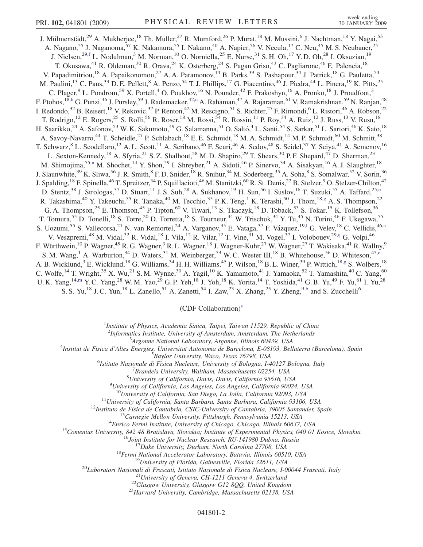J. Mülmenstädt,<sup>29</sup> A. Mukherjee,<sup>18</sup> Th. Muller,<sup>27</sup> R. Mumford,<sup>26</sup> P. Murat,<sup>18</sup> M. Mussini,<sup>6</sup> J. Nachtman,<sup>18</sup> Y. Nagai,<sup>55</sup> A. Nagano,<sup>55</sup> J. Naganoma,<sup>57</sup> K. Nakamura,<sup>55</sup> I. Nakano,<sup>40</sup> A. Napier,<sup>56</sup> V. Necula,<sup>17</sup> C. Neu,<sup>45</sup> M. S. Neubauer,<sup>25</sup> J. Nielsen,<sup>29[,f](#page-6-0)</sup> L. Nodulman,<sup>3</sup> M. Norman,<sup>10</sup> O. Norniella,<sup>25</sup> E. Nurse,<sup>31</sup> S. H. Oh,<sup>17</sup> Y. D. Oh,<sup>28</sup> I. Oksuzian,<sup>19</sup> T. Okusawa,<sup>41</sup> R. Oldeman,<sup>30</sup> R. Orava,<sup>24</sup> K. Osterberg,<sup>24</sup> S. Pagan Griso,<sup>43</sup> C. Pagliarone,<sup>46</sup> E. Palencia,<sup>18</sup> V. Papadimitriou,<sup>18</sup> A. Papaikonomou,<sup>27</sup> A. A. Paramonov,<sup>14</sup> B. Parks,<sup>39</sup> S. Pashapour,<sup>34</sup> J. Patrick,<sup>18</sup> G. Pauletta,<sup>54</sup> M. Paulini,<sup>13</sup> C. Paus,<sup>33</sup> D. E. Pellett,<sup>8</sup> A. Penzo,<sup>54</sup> T. J. Phillips,<sup>17</sup> G. Piacentino,<sup>46</sup> J. Piedra,<sup>44</sup> L. Pinera,<sup>19</sup> K. Pitts,<sup>25</sup> C. Plager,<sup>9</sup> L. Pondrom,<sup>59</sup> X. Portell,<sup>4</sup> O. Poukhov,<sup>16</sup> N. Pounder,<sup>42</sup> F. Prakoshyn,<sup>16</sup> A. Pronko,<sup>18</sup> J. Proudfoot,<sup>3</sup> F. Pto[h](#page-6-0)os, <sup>18,h</sup> G. Punzi, <sup>46</sup> J. Pursley, <sup>59</sup> J. Radema[c](#page-6-0)ker, <sup>42,c</sup> A. Rahaman, <sup>47</sup> A. Rajaraman, <sup>61</sup> V. Ramakrishnan, <sup>59</sup> N. Ranjan, <sup>48</sup> I. Redondo,<sup>32</sup> B. Reisert,<sup>18</sup> V. Rekovic,<sup>37</sup> P. Renton,<sup>42</sup> M. Rescigno,<sup>51</sup> S. Richter,<sup>27</sup> F. Rimondi,<sup>6</sup> L. Ristori,<sup>46</sup> A. Robson,<sup>22</sup> T. Rodrigo,  $^{12}$  E. Rogers,  $^{25}$  S. Rolli,  $^{56}$  R. Roser,  $^{18}$  M. Rossi,  $^{54}$  R. Rossin,  $^{11}$  P. Roy,  $^{34}$  A. Ruiz,  $^{12}$  J. Russ,  $^{13}$  V. Rusu,  $^{18}$ H. Saarikko,<sup>24</sup> A. Safonov,<sup>53</sup> W. K. Sakumoto,<sup>49</sup> G. Salamanna,<sup>51</sup> O. Saltó,<sup>4</sup> L. Santi,<sup>54</sup> S. Sarkar,<sup>51</sup> L. Sartori,<sup>46</sup> K. Sato,<sup>18</sup> A. Savoy-Navarro,<sup>44</sup> T. Scheidle,<sup>27</sup> P. Schlabach,<sup>18</sup> E. E. Schmidt,<sup>18</sup> M. A. Schmidt,<sup>14</sup> M. P. Schmidt,<sup>60</sup> M. Schmitt,<sup>38</sup> T. Schwarz,  ${}^{8}$  L. Scodellaro,  ${}^{12}$  A. L. Scott,  ${}^{11}$  A. Scribano,  ${}^{46}$  F. Scuri,  ${}^{46}$  A. Sedov,  ${}^{48}$  S. Seidel,  ${}^{37}$  Y. Seiya,  ${}^{41}$  A. Semenov,  ${}^{16}$ L. Sexton-Kennedy,<sup>18</sup> A. Sfyria,<sup>21</sup> S. Z. Shalhout,<sup>58</sup> M. D. Shapiro,<sup>29</sup> T. Shears,<sup>30</sup> P. F. Shepard,<sup>47</sup> D. Sherman,<sup>23</sup> M. Shimojima,<sup>55,[n](#page-6-0)</sup> M. Shochet,<sup>14</sup> Y. Shon,<sup>59</sup> I. Shreyber,<sup>21</sup> A. Sidoti,<sup>46</sup> P. Sinervo,<sup>34</sup> A. Sisakyan,<sup>16</sup> A. J. Slaughter,<sup>18</sup> J. Slaunwhite,  $39$  K. Sliwa,  $56$  J. R. Smith,  $8$  F. D. Snider,  $18$  R. Snihur,  $34$  M. Soderberg,  $35$  A. Soha,  $8$  S. Somalwar,  $52$  V. Sorin,  $36$ J. Spalding,<sup>18</sup> F. Spinella,<sup>46</sup> T. Spreitzer,<sup>34</sup> P. Squillacioti,<sup>46</sup> M. Stanitzki,<sup>60</sup> R. St. Denis,<sup>22</sup> B. Stelzer,<sup>9</sup> O. Stelzer-Chilton,<sup>42</sup> D. St[e](#page-6-0)ntz,<sup>38</sup> J. Strologas,<sup>37</sup> D. Stuart,<sup>11</sup> J. S. Suh,<sup>28</sup> A. Sukhanov,<sup>19</sup> H. Sun,<sup>56</sup> I. Suslov,<sup>16</sup> T. Suzuki,<sup>55</sup> A. Taffard,<sup>25,e</sup> R. Takashima,<sup>40</sup> Y. Takeuchi,<sup>55</sup> R. Tanaka,<sup>40</sup> M. Tecchio,<sup>35</sup> P. K. Teng,<sup>1</sup> K. Terashi,<sup>50</sup> J. Thom,<sup>18[,g](#page-6-0)</sup> A. S. Thompson,<sup>22</sup> G. A. Thompson,<sup>25</sup> E. Thomson,<sup>45</sup> P. Tipton,<sup>60</sup> V. Tiwari,<sup>13</sup> S. Tkaczyk,<sup>18</sup> D. Toback,<sup>53</sup> S. Tokar,<sup>15</sup> K. Tollefson,<sup>36</sup> T. Tomura,<sup>55</sup> D. Tonelli,<sup>18</sup> S. Torre,<sup>20</sup> D. Torretta,<sup>18</sup> S. Tourneur,<sup>44</sup> W. Trischuk,<sup>34</sup> Y. Tu,<sup>45</sup> N. Turini,<sup>46</sup> F. Ukegawa,<sup>55</sup> S. Uozumi,<sup>55</sup> S. Vallecorsa,<sup>21</sup> N. van Remortel,<sup>24</sup> A. Varganov,<sup>35</sup> E. Vataga,<sup>37</sup> F. Vázquez,<sup>19,1</sup> G. Velev,<sup>18</sup> C. Vellidis,<sup>46[,a](#page-5-0)</sup> V. Veszpremi,<sup>48</sup> M. Vidal,<sup>32</sup> R. Vidal,<sup>18</sup> I. Vila,<sup>12</sup> R. Vilar,<sup>12</sup> T. Vine,<sup>31</sup> M. Vogel,<sup>37</sup> I. Volobouev,<sup>29[,q](#page-6-0)</sup> G. Volpi,<sup>46</sup> F. Würthwein,<sup>10</sup> P. Wagner,<sup>45</sup> R. G. Wagner,<sup>3</sup> R. L. Wagner,<sup>18</sup> J. Wagner-Kuhr,<sup>27</sup> W. Wagner,<sup>27</sup> T. Wakisaka,<sup>41</sup> R. Wallny,<sup>9</sup> S. M. Wang,<sup>1</sup> A. Warburton,<sup>34</sup> D. Waters,<sup>31</sup> M. Weinberger,<sup>53</sup> W. C. Wester III,<sup>18</sup> B. Whitehouse,<sup>56</sup> D. Whiteson,<sup>45[,e](#page-6-0)</sup> A. B. Wicklund,<sup>3</sup> E. Wicklund,<sup>18</sup> G. Williams,<sup>34</sup> H. H. Williams,<sup>45</sup> P. Wilson,<sup>18</sup> B. L. Winer,<sup>39</sup> P. Wittich,<sup>18,[g](#page-6-0)</sup> S. Wolbers,<sup>18</sup> C. Wolfe, <sup>14</sup> T. Wright, <sup>35</sup> X. Wu, <sup>21</sup> S. M. Wynne, <sup>30</sup> A. Yagil, <sup>10</sup> K. Yamamoto, <sup>41</sup> J. Yamaoka, <sup>52</sup> T. Yamashita, <sup>40</sup> C. Yang, <sup>60</sup> U. K. Yang,  $^{14,m}$  $^{14,m}$  $^{14,m}$  Y. C. Yang,  $^{28}$  W. M. Yao,  $^{29}$  G. P. Yeh,  $^{18}$  J. Yoh,  $^{18}$  K. Yorita,  $^{14}$  T. Yoshida,  $^{41}$  G. B. Yu,  $^{49}$  F. Yu,  $^{61}$  I. Yu,  $^{28}$ S. S. Yu,<sup>18</sup> J. C. Yun,<sup>18</sup> L. Zanello,<sup>51</sup> A. Zanetti,<sup>54</sup> I. Zaw,<sup>23</sup> X. Zhang,<sup>25</sup> Y. Zheng,<sup>9[,b](#page-5-0)</sup> and S. Zucchelli<sup>6</sup>

 $(CDF$  Collaboration)<sup>s</sup>

<sup>1</sup>Institute of Physics, Academia Sinica, Taipei, Taiwan 11529, Republic of China

<sup>2</sup>Informatics Institute, University of Amsterdam, Amsterdam, The Netherlands<sup>3</sup> Argenna National Laboratory, Argenna Illinois 60430, USA

<sup>3</sup> Argonne National Laboratory, Argonne, Illinois 60439, USA<br><sup>4</sup> Institut de Fisica d'Altes Energies, Universitat Autonoma de Barcelona, E 08103, Bell

Institut de Fisica d'Altes Energies, Universitat Autonoma de Barcelona, E-08193, Bellaterra (Barcelona), Spain <sup>5</sup>

<sup>5</sup>Baylor University, Waco, Texas 76798, USA<br><sup>6</sup>Istitute Nazionale di Fisica Nucleara University of Bologna, La

Istituto Nazionale di Fisica Nucleare, University of Bologna, I-40127 Bologna, Italy <sup>7</sup>

 ${}^{7}$ Brandeis University, Waltham, Massachusetts 02254, USA

 ${}^{8}$ University of California, Davis, Davis, California 95616, USA

<sup>9</sup>University of California, Los Angeles, Los Angeles, California 90024, USA<br><sup>10</sup>University of California, San Diego, La Jolla, California 92093, USA

<sup>10</sup>University of California, San Diego, La Jolla, California 92093, USA<br>
<sup>11</sup>University of California, Santa Barbara, Santa Barbara, California 93106, USA<br>
<sup>12</sup>Instituto de Eisica de Cantabria, CSIC-University of Cardiba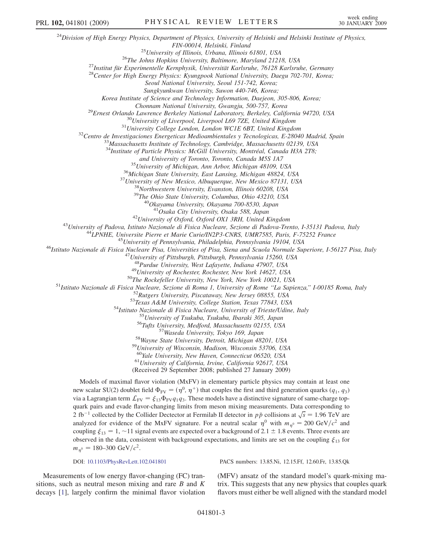$^{24}$ Division of High Energy Physics, Department of Physics, University of Helsinki and Helsinki Institute of Physics, FIN-00014, Helsinki, Finland<br><sup>25</sup>University of Illinois, Urbana, Illinois 61801, USA<br><sup>26</sup>The Johns Hopkins University, Baltimore, Maryland 21218, USA<br><sup>27</sup>Institut für Experimentelle Kernphysik, Universität Karlsruhe, 76128 Seoul National University, Seoul 151-742, Korea; Sungkyunkwan University, Suwon 440-746, Korea; Korea Institute of Science and Technology Information, Daejeon, 305-806, Korea; Chonnam National University, Gwangju, 500-757, Korea<br><sup>29</sup>Ernest Orlando Lawrence Berkeley National Laboratory, Berkeley, California 94720, USA<br><sup>30</sup>University of Liverpool, Liverpool L69 7ZE, United Kingdom<br><sup>31</sup>University  $34$ Institute of Particle Physics: McGill University, Montréal, Canada H3A 2T8;<br>and University of Toronto, Toronto, Canada M5S 1A7  $^{35}$ University of Michigan, Ann Arbor, Michigan 48109, USA<br>  $^{36}$ Michigan State University, East Lansing, Michigan 48824, USA<br>  $^{37}$ University of New Mexico, Albuquerque, New Mexico 87131, USA<br>  $^{38}$ Northwestern Univ <sup>42</sup>University of Oxford, Oxford OX1 3RH, United Kingdom<br><sup>43</sup>University of Padova, Istituto Nazionale di Fisica Nucleare, Sezione di Padova-Trento, I-35131 Padova, Italy<br><sup>44</sup>LPNHE, Universite Pierre et Marie Curie/IN2P3-C <sup>48</sup>Purdue University, West Lafayette, Indiana 47907, USA<br><sup>49</sup>University of Rochester, Rochester, New York 14627, USA<br><sup>51</sup>Istituto Nazionale di Fisica Nucleare, Secione di Roma 1, University, New York, New York 10021, USA <sup>59</sup>University of Wisconsin, Madison, Wisconsin 53706, USA<br><sup>60</sup>Yale University, New Haven, Connecticut 06520, USA<br><sup>61</sup>University of California, Irvine, California 92617, USA (Received 29 September 2008; published 27 January 2009) Models of maximal flavor violation (MxFV) in elementary particle physics may contain at least one new scalar SU(2) doublet field  $\Phi_{\rm FV} = (\eta^0, \eta^+)$  that couples the first and third generation quarks ( $q_1, q_3$ ) via a Lagrangian term  $\mathcal{L}_{FV} = \xi_{13} \Phi_{FV} q_1 q_3$ . These models have a distinctive signature of same-charge top-<br>quark pairs and evade flavor changing limits from meson mixing measurements. Data corresponding to quark pairs and evade flavor-changing limits from meson mixing measurements. Data corresponding to 2 fb<sup>-1</sup> collected by the Collider Dectector at Fermilab II detector in  $p\bar{p}$  collisions at  $\sqrt{s} = 1.96$  TeV are analyzed for evidence of the MxEV signature. For a neutral scalar  $n^0$  with  $m_s = 200$  GeV/ $c^2$  and analyzed for evidence of the MxFV signature. For a neutral scalar  $\eta^0$  with  $m_{\eta^0} = 200 \text{ GeV}/c^2$  and coupling  $\xi_{13} = 1$ ,  $\sim$ 11 signal events are expected over a background of 2.1  $\pm$  1.8 events. Three events are observed in the data consistent with hadcround expectations, and limits are set on the coupling  $\xi$ , for PRL 102, 041801 (2009) PHYSICAL REVIEW LETTERS week ending

 $m_{\eta^0} = 180 - 300 \text{ GeV}/c^2$ .

DOI: [10.1103/PhysRevLett.102.041801](http://dx.doi.org/10.1103/PhysRevLett.102.041801) PACS numbers: 13.85.Ni, 12.15.Ff, 12.60.Fr, 13.85.Qk

Measurements of low energy flavor-changing (FC) transitions, such as neutral meson mixing and rare  $B$  and  $K$ decays [1], largely confirm the minimal flavor violation (MFV) ansatz of the standard model's quark-mixing matrix. This suggests that any new physics that couples quark flavors must either be well aligned with the standard model

observed in the data, consistent with background expectations, and limits are set on the coupling  $\xi_{13}$  for  $m_s = 180, 300$  GeV/ $a^2$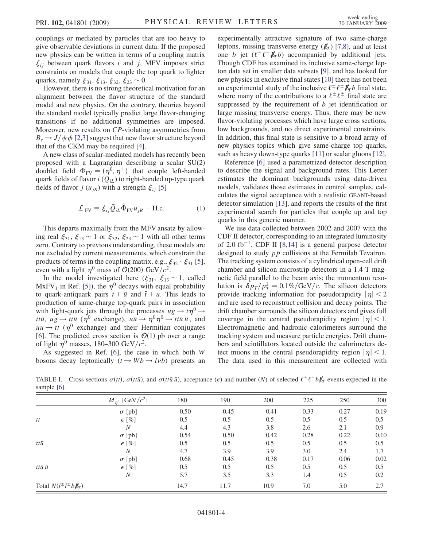<span id="page-3-0"></span>couplings or mediated by particles that are too heavy to give observable deviations in current data. If the proposed new physics can be written in terms of a coupling matrix constraints on models that couple the top quark to lighter  $\xi_{ij}$  between quark flavors i and j, MFV imposes strict quarks, namely  $\xi_{31}$ ,  $\xi_{13}$ ,  $\xi_{32}$ ,  $\xi_{23} \sim 0$ .<br>However there is no strong theoretic

However, there is no strong theoretical motivation for an alignment between the flavor structure of the standard model and new physics. On the contrary, theories beyond the standard model typically predict large flavor-changing transitions if no additional symmetries are imposed. Moreover, new results on CP-violating asymmetries from  $B_s \rightarrow J/\psi \phi$  [2,3] suggest that new flavor structure beyond that of the CKM may be required [4].

A new class of scalar-mediated models has recently been proposed with a Lagrangian describing a scalar SU(2) doublet field  $\Phi_{\text{FV}} = (\eta^0, \eta^+)$  that couple left-handed quark fields of flavor  $i(Q_{iL})$  to right-handed up-type quark fields of flavor  $j(u_{jR})$  with a strength  $\xi_{ij}$  [5]

$$
\mathcal{L}_{\text{FV}} = \xi_{ij} \bar{Q}_{iL} \tilde{\Phi}_{\text{FV}} u_{jR} + \text{H.c.}
$$
 (1)

This departs maximally from the MFV ansatz by allowing real  $\xi_{31}$ ,  $\xi_{13} \sim 1$  or  $\xi_{32}$ ,  $\xi_{23} \sim 1$  with all other terms<br>zero. Contrary to previous understanding these models are zero. Contrary to previous understanding, these models are not excluded by current measurements, which constrain the products of terms in the coupling matrix, e.g.,  $\xi_{32} \cdot \xi_{31}$  [5],<br>even with a light  $n^0$  mass of  $O(200)$  GeV/ $c^2$ even with a light  $\eta^0$  mass of  $\mathcal{O}(200)$  GeV/ $c^2$ .

In the model investigated here  $(\xi_{31}, \xi_{13} \sim 1$ , called  $\kappa$ FV, in Ref [51) the  $n^0$  decays with equal probability MxFV<sub>1</sub> in Ref. [5]), the  $\eta^0$  decays with equal probability to quark-antiquark pairs  $t + \bar{u}$  and  $\bar{t} + u$ . This leads to production of same-charge to p-quark pairs in association production of same-charge top-quark pairs in association with light-quark jets through the processes  $u g \to t \eta^0 \to$ ttū,  $ug \to tt\bar{u}$  ( $\eta^0$  exchange),  $u\bar{u} \to \eta^0 \eta^0 \to tt\bar{u}$ <br> $uu \to tt$  ( $\eta^0$  exchange) and their Hermitian con  $\bar{u}$ , and<br>ingates  $uu \rightarrow tt$  ( $\eta^0$  exchange) and their Hermitian conjugates [6]. The predicted cross section is  $\mathcal{O}(1)$  pb over a range of light  $\eta^0$  masses, 180–300 GeV/ $c^2$ .

As suggested in Ref.  $[6]$ , the case in which both W bosons decay leptonically  $(t \rightarrow Wb \rightarrow l\nu b)$  presents an experimentally attractive signature of two same-charge leptons, missing transverse energy  $(E_T)$  [7,8], and at least one b jet  $(\ell^{\pm} \ell^{\pm} \not{E}_{T} b)$  accompanied by additional jets. Though CDF has examined its inclusive same-charge lepton data set in smaller data subsets [9], and has looked for new physics in exclusive final states [10] there has not been an experimental study of the inclusive  $\ell^{\pm} \ell^{\pm} \cancel{E}_T b$  final state, where many of the contributions to a  $\ell^{\pm} \ell^{\pm}$  final state are suppressed by the requirement of  $b$  jet identification or large missing transverse energy. Thus, there may be new flavor-violating processes which have large cross sections, low backgrounds, and no direct experimental constraints. In addition, this final state is sensitive to a broad array of new physics topics which give same-charge top quarks, such as heavy down-type quarks [11] or scalar gluons [12].

Reference [6] used a parametrized detector description to describe the signal and background rates. This Letter estimates the dominant backgrounds using data-driven models, validates those estimates in control samples, calculates the signal acceptance with a realistic GEANT-based detector simulation [13], and reports the results of the first experimental search for particles that couple up and top quarks in this generic manner.

We use data collected between 2002 and 2007 with the CDF II detector, corresponding to an integrated luminosity of 2.0 fb<sup>-1</sup>. CDF II [8,14] is a general purpose detector designed to study  $p\bar{p}$  collisions at the Fermilab Tevatron.<br>The tracking system consists of a cylindrical open-cell drift The tracking system consists of a cylindrical open-cell drift chamber and silicon microstrip detectors in a 1.4 T magnetic field parallel to the beam axis; the momentum resolution is  $\delta p_T/p_T^2 = 0.1\%/\text{GeV}/c$ . The silicon detectors<br>provide tracking information for pseudoranidity  $|n| < 2$ provide tracking information for pseudorapidity  $|\eta| < 2$ and are used to reconstruct collision and decay points. The drift chamber surrounds the silicon detectors and gives full coverage in the central pseudorapidity region  $|\eta|$  < 1. Electromagnetic and hadronic calorimeters surround the tracking system and measure particle energies. Drift chambers and scintillators located outside the calorimeters detect muons in the central pseudorapidity region  $|\eta|$  < 1. The data used in this measurement are collected with

TABLE I. Cross sections  $\sigma(tt)$ ,  $\sigma(t\bar{t}\bar{u})$ , and  $\sigma(t\bar{t}\bar{u}\bar{u})$ , acceptance ( $\epsilon$ ) and number (N) of selected  $\ell^{\pm} \ell^{\pm} b \rlap{\,/}E_T$  events expected in the sample [6] sample [6].

|                                                                         | $M_{\eta^0}$ [GeV/ $c^2$ ] | 180  | 190  | 200  | 225  | 250  | 300  |
|-------------------------------------------------------------------------|----------------------------|------|------|------|------|------|------|
|                                                                         | $\sigma$ [pb]              | 0.50 | 0.45 | 0.41 | 0.33 | 0.27 | 0.19 |
| $t\bar{t}$                                                              | $\epsilon$ [%]             | 0.5  | 0.5  | 0.5  | 0.5  | 0.5  | 0.5  |
|                                                                         | N                          | 4.4  | 4.3  | 3.8  | 2.6  | 2.1  | 0.9  |
| $tt\bar{u}$                                                             | $\sigma$ [pb]              | 0.54 | 0.50 | 0.42 | 0.28 | 0.22 | 0.10 |
|                                                                         | $\epsilon$ [%]             | 0.5  | 0.5  | 0.5  | 0.5  | 0.5  | 0.5  |
|                                                                         | N                          | 4.7  | 3.9  | 3.9  | 3.0  | 2.4  | 1.7  |
| $tt\bar{u}$ $\bar{u}$                                                   | $\sigma$ [pb]              | 0.68 | 0.45 | 0.38 | 0.17 | 0.06 | 0.02 |
|                                                                         | $\epsilon$ [%]             | 0.5  | 0.5  | 0.5  | 0.5  | 0.5  | 0.5  |
|                                                                         | N                          | 5.7  | 3.5  | 3.3  | 1.4  | 0.5  | 0.2  |
| Total $N(l^{\pm} l^{\pm} b \not{\hspace{-1.2mm}/}E_{\hspace{-1.2mm}T})$ |                            | 14.7 | 11.7 | 10.9 | 7.0  | 5.0  | 2.7  |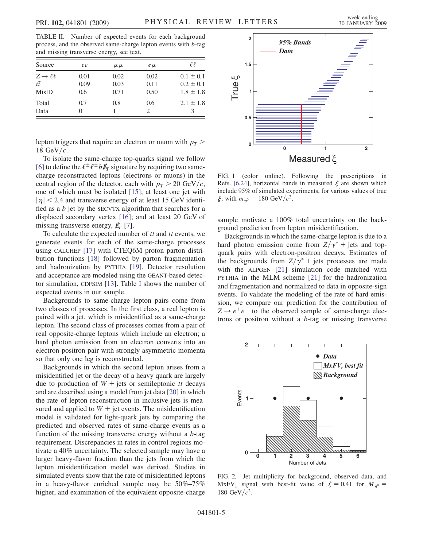<span id="page-4-0"></span>TABLE II. Number of expected events for each background process, and the observed same-charge lepton events with b-tag and missing transverse energy, see text.

| Source                                                  | ee                  | $\mu \mu$            | $e\mu$               | €€                                              |
|---------------------------------------------------------|---------------------|----------------------|----------------------|-------------------------------------------------|
| $Z \rightarrow \ell \ell$<br>$t\bar{t}$<br><b>MisID</b> | 0.01<br>0.09<br>0.6 | 0.02<br>0.03<br>0.71 | 0.02<br>0.11<br>0.50 | $0.1 \pm 0.1$<br>$0.2 \pm 0.1$<br>$1.8 \pm 1.8$ |
| Total<br>Data                                           | 0.7<br>0            | 0.8                  | 0.6                  | $2.1 \pm 1.8$                                   |

lepton triggers that require an electron or muon with  $p<sub>T</sub>$  > 18 GeV/ $c$ .

To isolate the same-charge top-quarks signal we follow [6] to define the  $\ell^{\pm} \ell^{\pm} b \not{E}_T$  signature by requiring two samecharge reconstructed leptons (electrons or muons) in the central region of the detector, each with  $p_T > 20 \text{ GeV}/c$ , one of which must be isolated [15]; at least one jet with  $|\eta|$  < 2.4 and transverse energy of at least 15 GeV identified as a  $b$  jet by the SECVTX algorithm that searches for a displaced secondary vertex [16]; and at least 20 GeV of missing transverse energy,  $\mathbf{E}_T$  [7].

To calculate the expected number of  $tt$  and  $\overline{tt}$  events, we generate events for each of the same-charge processes using CALCHEP [17] with CTEQ6M proton parton distribution functions [18] followed by parton fragmentation and hadronization by PYTHIA [19]. Detector resolution and acceptance are modeled using the GEANT-based detector simulation, CDFSIM [13]. Table [I](#page-3-0) shows the number of expected events in our sample.

Backgrounds to same-charge lepton pairs come from two classes of processes. In the first class, a real lepton is paired with a jet, which is misidentified as a same-charge lepton. The second class of processes comes from a pair of real opposite-charge leptons which include an electron; a hard photon emission from an electron converts into an electron-positron pair with strongly asymmetric momenta so that only one leg is reconstructed.

Backgrounds in which the second lepton arises from a misidentified jet or the decay of a heavy quark are largely due to production of  $W +$  jets or semileptonic  $t\bar{t}$  decays<br>and are described using a model from jet data [20] in which and are described using a model from jet data [20] in which the rate of lepton reconstruction in inclusive jets is measured and applied to  $W +$  jet events. The misidentification model is validated for light-quark jets by comparing the predicted and observed rates of same-charge events as a function of the missing transverse energy without a b-tag requirement. Discrepancies in rates in control regions motivate a 40% uncertainty. The selected sample may have a larger heavy-flavor fraction than the jets from which the lepton misidentification model was derived. Studies in simulated events show that the rate of misidentified leptons in a heavy-flavor enriched sample may be 50%–75% higher, and examination of the equivalent opposite-charge



FIG. 1 (color online). Following the prescriptions in Refs. [6,24], horizontal bands in measured  $\xi$  are shown which<br>include 95% of simulated experiments for various values of true include 95% of simulated experiments, for various values of true  $\xi$ , with  $m_{\eta^0} = 180 \text{ GeV}/c^2$ .

sample motivate a 100% total uncertainty on the background prediction from lepton misidentification.

Backgrounds in which the same-charge lepton is due to a hard photon emission come from  $Z/\gamma^*$  + jets and topquark pairs with electron-positron decays. Estimates of the backgrounds from  $Z/\gamma^*$  + jets processes are made with the ALPGEN [21] simulation code matched with PYTHIA in the MLM scheme [21] for the hadronization and fragmentation and normalized to data in opposite-sign events. To validate the modeling of the rate of hard emission, we compare our prediction for the contribution of  $Z \rightarrow e^+e^-$  to the observed sample of same-charge electrons or positron without a  $b$ -tag or missing transverse



FIG. 2. Jet multiplicity for background, observed data, and MxFV<sub>1</sub> signal with best-fit value of  $\xi = 0.41$  for  $M_{\eta^0} = 180 \text{ GeV}/c^2$ 180 GeV/ $c^2$ .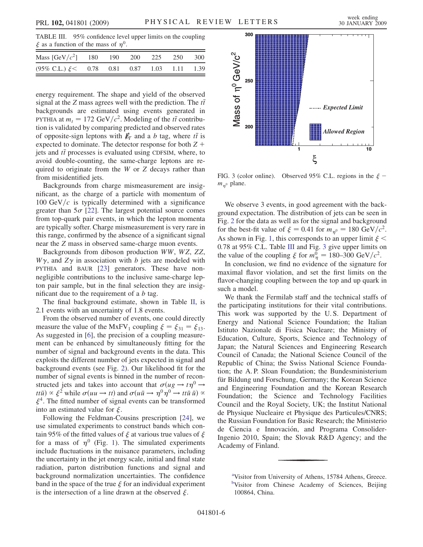<span id="page-5-0"></span>TABLE III. 95% confidence level upper limits on the coupling  $\xi$  as a function of the mass of  $\eta^0$ .

| Mass $[GeV/c^2]$ 180 190 200 225 250 300                  |  |  |  |
|-----------------------------------------------------------|--|--|--|
| $(95\% \text{ C.L.}) \xi < 0.78$ 0.81 0.87 1.03 1.11 1.39 |  |  |  |

energy requirement. The shape and yield of the observed signal at the Z mass agrees well with the prediction. The  $t\bar{t}$ <br>backgrounds are estimated using events generated in backgrounds are estimated using events generated in PYTHIA at  $m_t = 172 \text{ GeV}/c^2$ . Modeling of the *tt* contribu-<br>tion is validated by comparing predicted and observed rates tion is validated by comparing predicted and observed rates of opposite-sign leptons with  $E_T$  and a b tag, where  $t\bar{t}$  is<br>expected to dominate. The detector response for both  $Z +$ expected to dominate. The detector response for both  $Z +$ jets and  $t\bar{t}$  processes is evaluated using CDFSIM, where, to avoid double-counting the same-charge leptons are reavoid double-counting, the same-charge leptons are required to originate from the W or Z decays rather than from misidentified jets.

Backgrounds from charge mismeasurement are insignificant, as the charge of a particle with momentum of  $100 \text{ GeV}/c$  is typically determined with a significance greater than  $5\sigma$  [22]. The largest potential source comes from top-quark pair events, in which the lepton momenta are typically softer. Charge mismeasurement is very rare in this range, confirmed by the absence of a significant signal near the Z mass in observed same-charge muon events.

Backgrounds from diboson production WW, WZ, ZZ,  $W\gamma$ , and  $Z\gamma$  in association with b jets are modeled with PYTHIA and BAUR [23] generators. These have nonnegligible contributions to the inclusive same-charge lepton pair sample, but in the final selection they are insignificant due to the requirement of a  $b$  tag.

The final background estimate, shown in Table [II,](#page-4-0) is 2.1 events with an uncertainty of 1.8 events.

From the observed number of events, one could directly measure the value of the MxFV<sub>1</sub> coupling  $\xi = \xi_{31} = \xi_{13}$ .<br>As suggested in [6], the precision of a coupling measure-As suggested in [6], the precision of a coupling measurement can be enhanced by simultaneously fitting for the number of signal and background events in the data. This exploits the different number of jets expected in signal and background events (see Fig. [2\)](#page-4-0). Our likelihood fit for the number of signal events is binned in the number of reconstructed jets and takes into account that  $\sigma(ug \to t\eta^0 \to$ ttū)  $\propto \xi^2$  while  $\sigma(uu \to tt)$  and  $\sigma(u\bar{u} \to \eta^0 \eta^0 \to tt\bar{u}$ <br> $\xi^4$ . The fitted number of signal events can be transformed.  $\bar u) \propto$ med into an estimated value for  $\xi$ .<br>Following the Feldman-Co  $\xi^4$ . The fitted number of signal events can be transformed

Following the Feldman-Cousins prescription [24], we use simulated experiments to construct bands which contain 95% of the fitted values of  $\xi$  at various true values of  $\xi$ <br>for a mass of  $n^0$  (Fig. 1). The simulated experiments for a mass of  $\eta^0$  (Fig. [1\)](#page-4-0). The simulated experiments include fluctuations in the nuisance parameters, including the uncertainty in the jet energy scale, initial and final state radiation, parton distribution functions and signal and background normalization uncertainties. The confidence band in the space of the true  $\xi$  for an individual experiment<br>is the intersection of a line drawn at the observed  $\xi$ is the intersection of a line drawn at the observed  $\xi$ .



FIG. 3 (color online). Observed 95% C.L. regions in the  $\xi - m$  a plane  $m_{n^0}$  plane.

We observe 3 events, in good agreement with the background expectation. The distribution of jets can be seen in Fig. [2](#page-4-0) for the data as well as for the signal and background for the best-fit value of  $\xi = 0.41$  for  $m_{\eta^0} = 180 \text{ GeV}/c^2$ . As shown in Fig. [1](#page-4-0), this corresponds to an upper limit  $\xi$  < 0.78 at 95% C.L. Table III and Fig. 3 give upper limits on the value of the counting  $\xi$  for  $m^0 = 180-300$  GeV/ $c^2$ the value of the coupling  $\xi$  for  $m_{\eta}^0 = 180-300 \text{ GeV}/c^2$ .<br>In conclusion, we find no evidence of the signature for

In conclusion, we find no evidence of the signature for maximal flavor violation, and set the first limits on the flavor-changing coupling between the top and up quark in such a model.

We thank the Fermilab staff and the technical staffs of the participating institutions for their vital contributions. This work was supported by the U. S. Department of Energy and National Science Foundation; the Italian Istituto Nazionale di Fisica Nucleare; the Ministry of Education, Culture, Sports, Science and Technology of Japan; the Natural Sciences and Engineering Research Council of Canada; the National Science Council of the Republic of China; the Swiss National Science Foundation; the A. P. Sloan Foundation; the Bundesministerium für Bildung und Forschung, Germany; the Korean Science and Engineering Foundation and the Korean Research Foundation; the Science and Technology Facilities Council and the Royal Society, UK; the Institut National de Physique Nucleaire et Physique des Particules/CNRS; the Russian Foundation for Basic Research; the Ministerio de Ciencia e Innovación, and Programa Consolider-Ingenio 2010, Spain; the Slovak R&D Agency; and the Academy of Finland.

<sup>&</sup>lt;sup>a</sup>Visitor from University of Athens, 15784 Athens, Greece. <sup>b</sup>Visitor from Chinese Academy of Sciences, Beijing 100864, China.